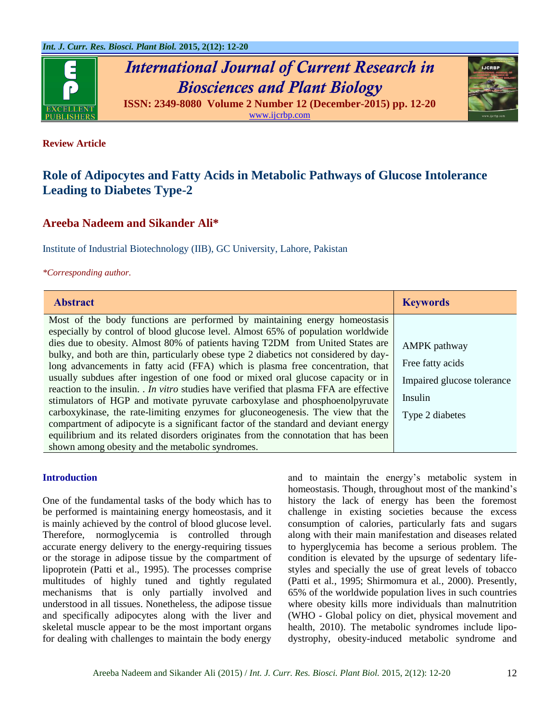

*International Journal of Current Research in Biosciences and Plant Biology* **ISSN: 2349-8080 Volume 2 Number 12 (December-2015) pp. 12-20**



[www.ijcrbp.com](http://www.ijcrbp.com/)

### **Review Article**

# **Role of Adipocytes and Fatty Acids in Metabolic Pathways of Glucose Intolerance Leading to Diabetes Type-2**

# **Areeba Nadeem and Sikander Ali\***

Institute of Industrial Biotechnology (IIB), GC University, Lahore, Pakistan

*\*Corresponding author.*

| <b>Abstract</b>                                                                                                                                                                                                                                                                                                                                                                                                                                                                                                                                                                                                                                                                                                                                                                                                                                                                                                                                                                                                     | <b>Keywords</b>                                                                                     |
|---------------------------------------------------------------------------------------------------------------------------------------------------------------------------------------------------------------------------------------------------------------------------------------------------------------------------------------------------------------------------------------------------------------------------------------------------------------------------------------------------------------------------------------------------------------------------------------------------------------------------------------------------------------------------------------------------------------------------------------------------------------------------------------------------------------------------------------------------------------------------------------------------------------------------------------------------------------------------------------------------------------------|-----------------------------------------------------------------------------------------------------|
| Most of the body functions are performed by maintaining energy homeostasis<br>especially by control of blood glucose level. Almost 65% of population worldwide<br>dies due to obesity. Almost 80% of patients having T2DM from United States are<br>bulky, and both are thin, particularly obese type 2 diabetics not considered by day-<br>long advancements in fatty acid (FFA) which is plasma free concentration, that<br>usually subdues after ingestion of one food or mixed oral glucose capacity or in<br>reaction to the insulin. <i>In vitro</i> studies have verified that plasma FFA are effective<br>stimulators of HGP and motivate pyruvate carboxylase and phosphoenolpyruvate<br>carboxykinase, the rate-limiting enzymes for gluconeogenesis. The view that the<br>compartment of adipocyte is a significant factor of the standard and deviant energy<br>equilibrium and its related disorders originates from the connotation that has been<br>shown among obesity and the metabolic syndromes. | <b>AMPK</b> pathway<br>Free fatty acids<br>Impaired glucose tolerance<br>Insulin<br>Type 2 diabetes |

#### **Introduction**

One of the fundamental tasks of the body which has to be performed is maintaining energy homeostasis, and it is mainly achieved by the control of blood glucose level. Therefore, normoglycemia is controlled through accurate energy delivery to the energy-requiring tissues or the storage in adipose tissue by the compartment of lipoprotein (Patti et al., 1995). The processes comprise multitudes of highly tuned and tightly regulated mechanisms that is only partially involved and understood in all tissues. Nonetheless, the adipose tissue and specifically adipocytes along with the liver and skeletal muscle appear to be the most important organs for dealing with challenges to maintain the body energy

and to maintain the energy"s metabolic system in homeostasis. Though, throughout most of the mankind's history the lack of energy has been the foremost challenge in existing societies because the excess consumption of calories, particularly fats and sugars along with their main manifestation and diseases related to hyperglycemia has become a serious problem. The condition is elevated by the upsurge of sedentary lifestyles and specially the use of great levels of tobacco (Patti et al*.*, 1995; Shirmomura et al*.,* 2000). Presently, 65% of the worldwide population lives in such countries where obesity kills more individuals than malnutrition (WHO - Global policy on diet, physical movement and health, 2010). The metabolic syndromes include lipodystrophy, obesity-induced metabolic syndrome and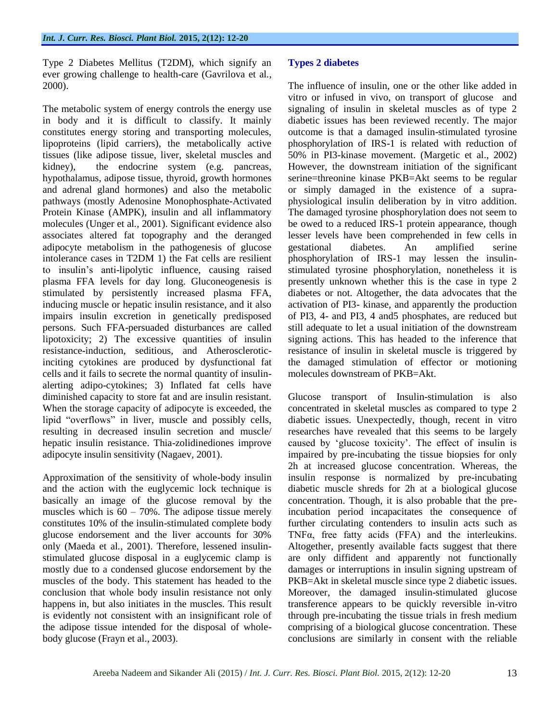Type 2 Diabetes Mellitus (T2DM), which signify an ever growing challenge to health-care (Gavrilova et al*.,* 2000).

The metabolic system of energy controls the energy use in body and it is difficult to classify. It mainly constitutes energy storing and transporting molecules, lipoproteins (lipid carriers), the metabolically active tissues (like adipose tissue, liver, skeletal muscles and kidney), the endocrine system (e.g. pancreas, hypothalamus, adipose tissue, thyroid, growth hormones and adrenal gland hormones) and also the metabolic pathways (mostly Adenosine Monophosphate-Activated Protein Kinase (AMPK), insulin and all inflammatory molecules (Unger et al*.*, 2001). Significant evidence also associates altered fat topography and the deranged adipocyte metabolism in the pathogenesis of glucose intolerance cases in T2DM 1) the Fat cells are resilient to insulin"s anti-lipolytic influence, causing raised plasma FFA levels for day long. Gluconeogenesis is stimulated by persistently increased plasma FFA, inducing muscle or hepatic insulin resistance, and it also impairs insulin excretion in genetically predisposed persons. Such FFA-persuaded disturbances are called lipotoxicity; 2) The excessive quantities of insulin resistance-induction, seditious, and Atheroscleroticinciting cytokines are produced by dysfunctional fat cells and it fails to secrete the normal quantity of insulinalerting adipo-cytokines; 3) Inflated fat cells have diminished capacity to store fat and are insulin resistant. When the storage capacity of adipocyte is exceeded, the lipid "overflows" in liver, muscle and possibly cells, resulting in decreased insulin secretion and muscle/ hepatic insulin resistance. Thia-zolidinediones improve adipocyte insulin sensitivity (Nagaev*,* 2001).

Approximation of the sensitivity of whole-body insulin and the action with the euglycemic lock technique is basically an image of the glucose removal by the muscles which is  $60 - 70\%$ . The adipose tissue merely constitutes 10% of the insulin-stimulated complete body glucose endorsement and the liver accounts for 30% only (Maeda et al*.*, 2001). Therefore, lessened insulinstimulated glucose disposal in a euglycemic clamp is mostly due to a condensed glucose endorsement by the muscles of the body. This statement has headed to the conclusion that whole body insulin resistance not only happens in, but also initiates in the muscles. This result is evidently not consistent with an insignificant role of the adipose tissue intended for the disposal of wholebody glucose (Frayn et al., 2003).

# **Types 2 diabetes**

The influence of insulin, one or the other like added in vitro or infused in vivo, on transport of glucose and signaling of insulin in skeletal muscles as of type 2 diabetic issues has been reviewed recently. The major outcome is that a damaged insulin-stimulated tyrosine phosphorylation of IRS-1 is related with reduction of 50% in PI3-kinase movement. (Margetic et al., 2002) However, the downstream initiation of the significant serine=threonine kinase PKB=Akt seems to be regular or simply damaged in the existence of a supraphysiological insulin deliberation by in vitro addition. The damaged tyrosine phosphorylation does not seem to be owed to a reduced IRS-1 protein appearance, though lesser levels have been comprehended in few cells in gestational diabetes. An amplified serine phosphorylation of IRS-1 may lessen the insulinstimulated tyrosine phosphorylation, nonetheless it is presently unknown whether this is the case in type 2 diabetes or not. Altogether, the data advocates that the activation of PI3- kinase, and apparently the production of PI3, 4- and PI3, 4 and5 phosphates, are reduced but still adequate to let a usual initiation of the downstream signing actions. This has headed to the inference that resistance of insulin in skeletal muscle is triggered by the damaged stimulation of effector or motioning molecules downstream of PKB=Akt.

Glucose transport of Insulin-stimulation is also concentrated in skeletal muscles as compared to type 2 diabetic issues. Unexpectedly, though, recent in vitro researches have revealed that this seems to be largely caused by "glucose toxicity". The effect of insulin is impaired by pre-incubating the tissue biopsies for only 2h at increased glucose concentration. Whereas, the insulin response is normalized by pre-incubating diabetic muscle shreds for 2h at a biological glucose concentration. Though, it is also probable that the preincubation period incapacitates the consequence of further circulating contenders to insulin acts such as TNFα, free fatty acids (FFA) and the interleukins. Altogether, presently available facts suggest that there are only diffident and apparently not functionally damages or interruptions in insulin signing upstream of PKB=Akt in skeletal muscle since type 2 diabetic issues. Moreover, the damaged insulin-stimulated glucose transference appears to be quickly reversible in-vitro through pre-incubating the tissue trials in fresh medium comprising of a biological glucose concentration. These conclusions are similarly in consent with the reliable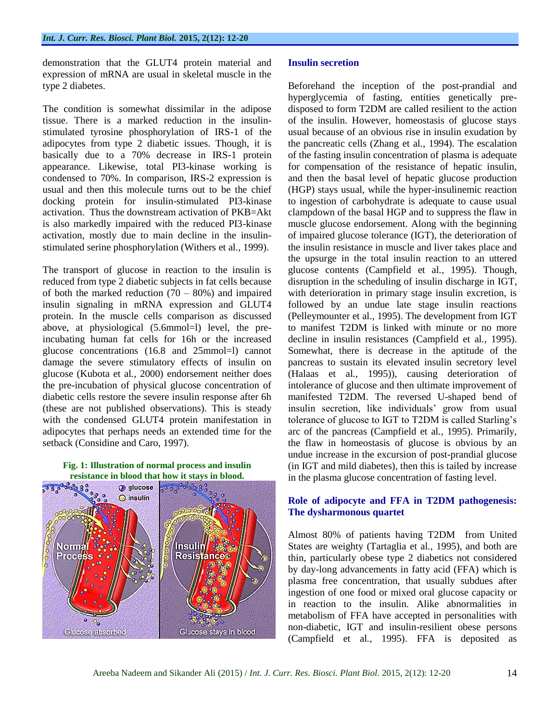demonstration that the GLUT4 protein material and expression of mRNA are usual in skeletal muscle in the type 2 diabetes.

The condition is somewhat dissimilar in the adipose tissue. There is a marked reduction in the insulinstimulated tyrosine phosphorylation of IRS-1 of the adipocytes from type 2 diabetic issues. Though, it is basically due to a 70% decrease in IRS-1 protein appearance. Likewise, total PI3-kinase working is condensed to 70%. In comparison, IRS-2 expression is usual and then this molecule turns out to be the chief docking protein for insulin-stimulated PI3-kinase activation. Thus the downstream activation of PKB=Akt is also markedly impaired with the reduced PI3-kinase activation, mostly due to main decline in the insulinstimulated serine phosphorylation (Withers et al*.,* 1999).

The transport of glucose in reaction to the insulin is reduced from type 2 diabetic subjects in fat cells because of both the marked reduction  $(70 - 80%)$  and impaired insulin signaling in mRNA expression and GLUT4 protein. In the muscle cells comparison as discussed above, at physiological (5.6mmol=l) level, the preincubating human fat cells for 16h or the increased glucose concentrations (16.8 and 25mmol=l) cannot damage the severe stimulatory effects of insulin on glucose (Kubota et al*.*, 2000) endorsement neither does the pre-incubation of physical glucose concentration of diabetic cells restore the severe insulin response after 6h (these are not published observations). This is steady with the condensed GLUT4 protein manifestation in adipocytes that perhaps needs an extended time for the setback (Considine and Caro, 1997).



#### **Insulin secretion**

Beforehand the inception of the post-prandial and hyperglycemia of fasting, entities genetically predisposed to form T2DM are called resilient to the action of the insulin. However, homeostasis of glucose stays usual because of an obvious rise in insulin exudation by the pancreatic cells (Zhang et al*.*, 1994). The escalation of the fasting insulin concentration of plasma is adequate for compensation of the resistance of hepatic insulin, and then the basal level of hepatic glucose production (HGP) stays usual, while the hyper-insulinemic reaction to ingestion of carbohydrate is adequate to cause usual clampdown of the basal HGP and to suppress the flaw in muscle glucose endorsement. Along with the beginning of impaired glucose tolerance (IGT), the deterioration of the insulin resistance in muscle and liver takes place and the upsurge in the total insulin reaction to an uttered glucose contents (Campfield et al*.,* 1995). Though, disruption in the scheduling of insulin discharge in IGT, with deterioration in primary stage insulin excretion, is followed by an undue late stage insulin reactions (Pelleymounter et al., 1995). The development from IGT to manifest T2DM is linked with minute or no more decline in insulin resistances (Campfield et al*.,* 1995). Somewhat, there is decrease in the aptitude of the pancreas to sustain its elevated insulin secretory level (Halaas et al*.,* 1995)), causing deterioration of intolerance of glucose and then ultimate improvement of manifested T2DM. The reversed U-shaped bend of insulin secretion, like individuals" grow from usual tolerance of glucose to IGT to T2DM is called Starling"s arc of the pancreas (Campfield et al*.,* 1995). Primarily, the flaw in homeostasis of glucose is obvious by an undue increase in the excursion of post-prandial glucose (in IGT and mild diabetes), then this is tailed by increase in the plasma glucose concentration of fasting level.

### **Role of adipocyte and FFA in T2DM pathogenesis: The dysharmonous quartet**

Almost 80% of patients having T2DM from United States are weighty (Tartaglia et al*.,* 1995), and both are thin, particularly obese type 2 diabetics not considered by day-long advancements in fatty acid (FFA) which is plasma free concentration, that usually subdues after ingestion of one food or mixed oral glucose capacity or in reaction to the insulin. Alike abnormalities in metabolism of FFA have accepted in personalities with non-diabetic, IGT and insulin-resilient obese persons (Campfield et al*.,* 1995). FFA is deposited as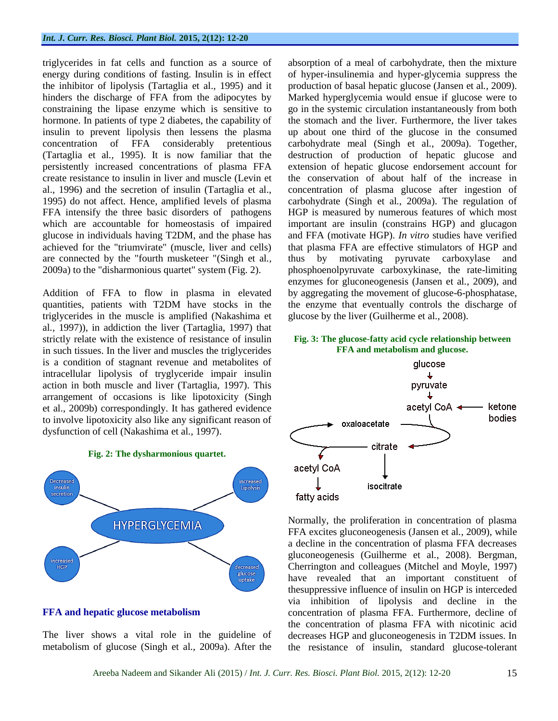triglycerides in fat cells and function as a source of energy during conditions of fasting. Insulin is in effect the inhibitor of lipolysis (Tartaglia et al., 1995) and it hinders the discharge of FFA from the adipocytes by constraining the lipase enzyme which is sensitive to hormone. In patients of type 2 diabetes, the capability of insulin to prevent lipolysis then lessens the plasma concentration of FFA considerably pretentious (Tartaglia et al*.,* 1995). It is now familiar that the persistently increased concentrations of plasma FFA create resistance to insulin in liver and muscle (Levin et al., 1996) and the secretion of insulin (Tartaglia et al., 1995) do not affect. Hence, amplified levels of plasma FFA intensify the three basic disorders of pathogens which are accountable for homeostasis of impaired glucose in individuals having T2DM, and the phase has achieved for the "triumvirate" (muscle, liver and cells) are connected by the "fourth musketeer "(Singh et al*.,* 2009a) to the "disharmonious quartet" system (Fig. 2).

Addition of FFA to flow in plasma in elevated quantities, patients with T2DM have stocks in the triglycerides in the muscle is amplified (Nakashima et al*.*, 1997)), in addiction the liver (Tartaglia, 1997) that strictly relate with the existence of resistance of insulin in such tissues. In the liver and muscles the triglycerides is a condition of stagnant revenue and metabolites of intracellular lipolysis of tryglyceride impair insulin action in both muscle and liver (Tartaglia, 1997). This arrangement of occasions is like lipotoxicity (Singh et al., 2009b) correspondingly. It has gathered evidence to involve lipotoxicity also like any significant reason of dysfunction of cell (Nakashima et al*.,* 1997).





#### **FFA and hepatic glucose metabolism**

The liver shows a vital role in the guideline of metabolism of glucose (Singh et al*.*, 2009a). After the absorption of a meal of carbohydrate, then the mixture of hyper-insulinemia and hyper-glycemia suppress the production of basal hepatic glucose (Jansen et al*.*, 2009). Marked hyperglycemia would ensue if glucose were to go in the systemic circulation instantaneously from both the stomach and the liver. Furthermore, the liver takes up about one third of the glucose in the consumed carbohydrate meal (Singh et al*.*, 2009a). Together, destruction of production of hepatic glucose and extension of hepatic glucose endorsement account for the conservation of about half of the increase in concentration of plasma glucose after ingestion of carbohydrate (Singh et al*.*, 2009a). The regulation of HGP is measured by numerous features of which most important are insulin (constrains HGP) and glucagon and FFA (motivate HGP). *In vitro* studies have verified that plasma FFA are effective stimulators of HGP and thus by motivating pyruvate carboxylase and phosphoenolpyruvate carboxykinase, the rate-limiting enzymes for gluconeogenesis (Jansen et al*.*, 2009), and by aggregating the movement of glucose-6-phosphatase, the enzyme that eventually controls the discharge of glucose by the liver (Guilherme et al*.*, 2008).

#### **Fig. 3: The glucose-fatty acid cycle relationship between FFA and metabolism and glucose.**



Normally, the proliferation in concentration of plasma FFA excites gluconeogenesis (Jansen et al*.*, 2009), while a decline in the concentration of plasma FFA decreases gluconeogenesis (Guilherme et al*.*, 2008). Bergman, Cherrington and colleagues (Mitchel and Moyle, 1997) have revealed that an important constituent of thesuppressive influence of insulin on HGP is interceded via inhibition of lipolysis and decline in the concentration of plasma FFA. Furthermore, decline of the concentration of plasma FFA with nicotinic acid decreases HGP and gluconeogenesis in T2DM issues. In the resistance of insulin, standard glucose-tolerant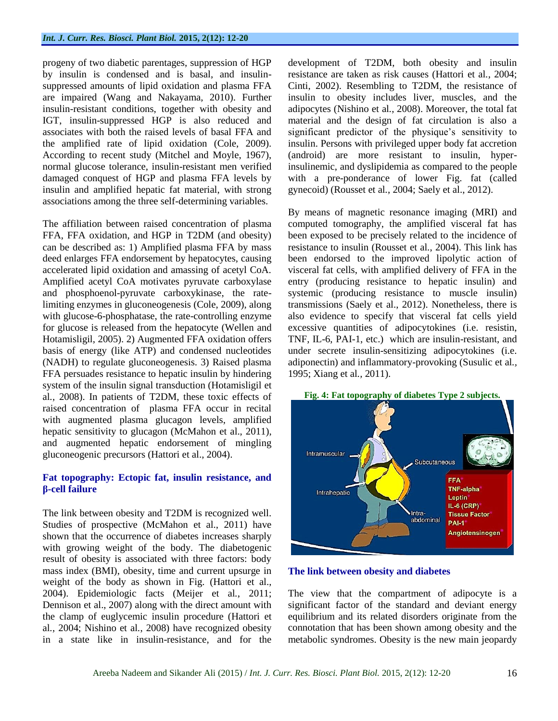progeny of two diabetic parentages, suppression of HGP by insulin is condensed and is basal, and insulinsuppressed amounts of lipid oxidation and plasma FFA are impaired (Wang and Nakayama, 2010). Further insulin-resistant conditions, together with obesity and IGT, insulin-suppressed HGP is also reduced and associates with both the raised levels of basal FFA and the amplified rate of lipid oxidation (Cole, 2009). According to recent study (Mitchel and Moyle, 1967), normal glucose tolerance, insulin-resistant men verified damaged conquest of HGP and plasma FFA levels by insulin and amplified hepatic fat material, with strong associations among the three self-determining variables.

The affiliation between raised concentration of plasma FFA, FFA oxidation, and HGP in T2DM (and obesity) can be described as: 1) Amplified plasma FFA by mass deed enlarges FFA endorsement by hepatocytes, causing accelerated lipid oxidation and amassing of acetyl CoA. Amplified acetyl CoA motivates pyruvate carboxylase and phosphoenol-pyruvate carboxykinase, the ratelimiting enzymes in gluconeogenesis (Cole, 2009), along with glucose-6-phosphatase, the rate-controlling enzyme for glucose is released from the hepatocyte (Wellen and Hotamisligil, 2005). 2) Augmented FFA oxidation offers basis of energy (like ATP) and condensed nucleotides (NADH) to regulate gluconeogenesis. 3) Raised plasma FFA persuades resistance to hepatic insulin by hindering system of the insulin signal transduction (Hotamisligil et al*.*, 2008). In patients of T2DM, these toxic effects of raised concentration of plasma FFA occur in recital with augmented plasma glucagon levels, amplified hepatic sensitivity to glucagon (McMahon et al., 2011), and augmented hepatic endorsement of mingling gluconeogenic precursors (Hattori et al., 2004).

## **Fat topography: Ectopic fat, insulin resistance, and β-cell failure**

The link between obesity and T2DM is recognized well. Studies of prospective (McMahon et al., 2011) have shown that the occurrence of diabetes increases sharply with growing weight of the body. The diabetogenic result of obesity is associated with three factors: body mass index (BMI), obesity, time and current upsurge in weight of the body as shown in Fig. (Hattori et al., 2004). Epidemiologic facts (Meijer et al*.*, 2011; Dennison et al., 2007) along with the direct amount with the clamp of euglycemic insulin procedure (Hattori et al*.*, 2004; Nishino et al*.*, 2008) have recognized obesity in a state like in insulin-resistance, and for the

development of T2DM, both obesity and insulin resistance are taken as risk causes (Hattori et al*.*, 2004; Cinti, 2002). Resembling to T2DM, the resistance of insulin to obesity includes liver, muscles, and the adipocytes (Nishino et al*.*, 2008). Moreover, the total fat material and the design of fat circulation is also a significant predictor of the physique's sensitivity to insulin. Persons with privileged upper body fat accretion (android) are more resistant to insulin, hyperinsulinemic, and dyslipidemia as compared to the people with a pre-ponderance of lower Fig. fat (called gynecoid) (Rousset et al*.*, 2004; Saely et al., 2012).

By means of magnetic resonance imaging (MRI) and computed tomography, the amplified visceral fat has been exposed to be precisely related to the incidence of resistance to insulin (Rousset et al*.*, 2004). This link has been endorsed to the improved lipolytic action of visceral fat cells, with amplified delivery of FFA in the entry (producing resistance to hepatic insulin) and systemic (producing resistance to muscle insulin) transmissions (Saely et al., 2012). Nonetheless, there is also evidence to specify that visceral fat cells yield excessive quantities of adipocytokines (i.e. resistin, TNF, IL-6, PAI-1, etc.) which are insulin-resistant, and under secrete insulin-sensitizing adipocytokines (i.e. adiponectin) and inflammatory-provoking (Susulic et al*.,* 1995; Xiang et al*.,* 2011).





#### **The link between obesity and diabetes**

The view that the compartment of adipocyte is a significant factor of the standard and deviant energy equilibrium and its related disorders originate from the connotation that has been shown among obesity and the metabolic syndromes. Obesity is the new main jeopardy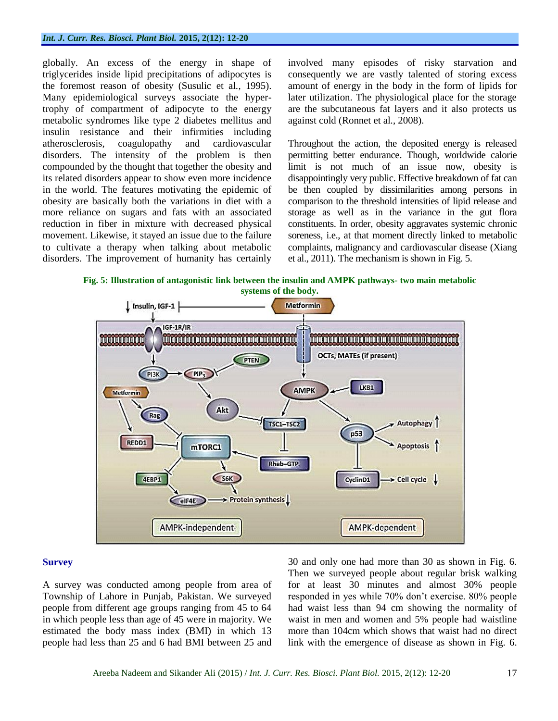#### *Int. J. Curr. Res. Biosci. Plant Biol.* **2015, 2(12): 12-20**

globally. An excess of the energy in shape of triglycerides inside lipid precipitations of adipocytes is the foremost reason of obesity (Susulic et al*.,* 1995). Many epidemiological surveys associate the hypertrophy of compartment of adipocyte to the energy metabolic syndromes like type 2 diabetes mellitus and insulin resistance and their infirmities including atherosclerosis, coagulopathy and cardiovascular disorders. The intensity of the problem is then compounded by the thought that together the obesity and its related disorders appear to show even more incidence in the world. The features motivating the epidemic of obesity are basically both the variations in diet with a more reliance on sugars and fats with an associated reduction in fiber in mixture with decreased physical movement. Likewise, it stayed an issue due to the failure to cultivate a therapy when talking about metabolic disorders. The improvement of humanity has certainly

involved many episodes of risky starvation and consequently we are vastly talented of storing excess amount of energy in the body in the form of lipids for later utilization. The physiological place for the storage are the subcutaneous fat layers and it also protects us against cold (Ronnet et al*.*, 2008).

Throughout the action, the deposited energy is released permitting better endurance. Though, worldwide calorie limit is not much of an issue now, obesity is disappointingly very public. Effective breakdown of fat can be then coupled by dissimilarities among persons in comparison to the threshold intensities of lipid release and storage as well as in the variance in the gut flora constituents. In order, obesity aggravates systemic chronic soreness, i.e., at that moment directly linked to metabolic complaints, malignancy and cardiovascular disease (Xiang et al., 2011). The mechanism is shown in Fig. 5.

**Fig. 5: Illustration of antagonistic link between the insulin and AMPK pathways- two main metabolic systems of the body.**



#### **Survey**

A survey was conducted among people from area of Township of Lahore in Punjab, Pakistan. We surveyed people from different age groups ranging from 45 to 64 in which people less than age of 45 were in majority. We estimated the body mass index (BMI) in which 13 people had less than 25 and 6 had BMI between 25 and 30 and only one had more than 30 as shown in Fig. 6. Then we surveyed people about regular brisk walking for at least 30 minutes and almost 30% people responded in yes while 70% don"t exercise. 80% people had waist less than 94 cm showing the normality of waist in men and women and 5% people had waistline more than 104cm which shows that waist had no direct link with the emergence of disease as shown in Fig. 6.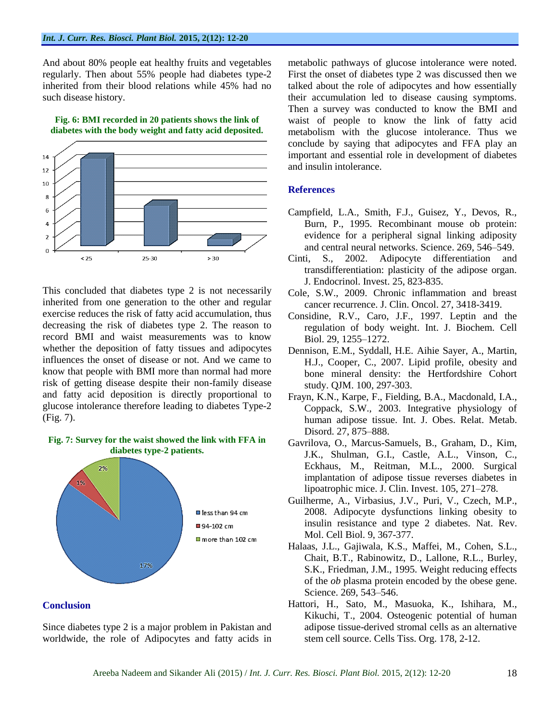And about 80% people eat healthy fruits and vegetables regularly. Then about 55% people had diabetes type-2 inherited from their blood relations while 45% had no such disease history.



**Fig. 6: BMI recorded in 20 patients shows the link of diabetes with the body weight and fatty acid deposited.**

This concluded that diabetes type 2 is not necessarily inherited from one generation to the other and regular exercise reduces the risk of fatty acid accumulation, thus decreasing the risk of diabetes type 2. The reason to record BMI and waist measurements was to know whether the deposition of fatty tissues and adipocytes influences the onset of disease or not. And we came to know that people with BMI more than normal had more risk of getting disease despite their non-family disease and fatty acid deposition is directly proportional to glucose intolerance therefore leading to diabetes Type-2 (Fig. 7).

#### **Fig. 7: Survey for the waist showed the link with FFA in diabetes type-2 patients.**



#### **Conclusion**

Since diabetes type 2 is a major problem in Pakistan and worldwide, the role of Adipocytes and fatty acids in metabolic pathways of glucose intolerance were noted. First the onset of diabetes type 2 was discussed then we talked about the role of adipocytes and how essentially their accumulation led to disease causing symptoms. Then a survey was conducted to know the BMI and waist of people to know the link of fatty acid metabolism with the glucose intolerance. Thus we conclude by saying that adipocytes and FFA play an important and essential role in development of diabetes and insulin intolerance.

#### **References**

- Campfield, L.A., Smith, F.J., Guisez, Y., Devos, R., Burn, P., 1995. Recombinant mouse ob protein: evidence for a peripheral signal linking adiposity and central neural networks. Science. 269, 546–549.
- Cinti, S., 2002. Adipocyte differentiation and transdifferentiation: plasticity of the adipose organ. J. Endocrinol. Invest. 25, 823-835.
- Cole, S.W., 2009. Chronic inflammation and breast cancer recurrence. J. Clin. Oncol. 27, 3418-3419.
- Considine, R.V., Caro, J.F., 1997. Leptin and the regulation of body weight. Int. J. Biochem. Cell Biol. 29, 1255–1272.
- Dennison, E.M., Syddall, H.E. Aihie Sayer, A., Martin, H.J., Cooper, C., 2007. Lipid profile, obesity and bone mineral density: the Hertfordshire Cohort study. QJM. 100, 297-303.
- Frayn, K.N., Karpe, F., Fielding, B.A., Macdonald, I.A., Coppack, S.W., 2003. Integrative physiology of human adipose tissue. Int. J. Obes. Relat. Metab. Disord. 27, 875–888.
- Gavrilova, O., Marcus-Samuels, B., Graham, D., Kim, J.K., Shulman, G.I., Castle, A.L., Vinson, C., Eckhaus, M., Reitman, M.L., 2000. Surgical implantation of adipose tissue reverses diabetes in lipoatrophic mice. J. Clin. Invest. 105, 271–278.
- Guilherme, A., Virbasius, J.V., Puri, V., Czech, M.P., 2008. Adipocyte dysfunctions linking obesity to insulin resistance and type 2 diabetes. Nat. Rev. Mol. Cell Biol. 9, 367-377.
- Halaas, J.L., Gajiwala, K.S., Maffei, M., Cohen, S.L., Chait, B.T., Rabinowitz, D., Lallone, R.L., Burley, S.K., Friedman, J.M., 1995. Weight reducing effects of the *ob* plasma protein encoded by the obese gene. Science. 269, 543–546.
- Hattori, H., Sato, M., Masuoka, K., Ishihara, M., Kikuchi, T., 2004. Osteogenic potential of human adipose tissue-derived stromal cells as an alternative stem cell source. Cells Tiss. Org. 178, 2-12.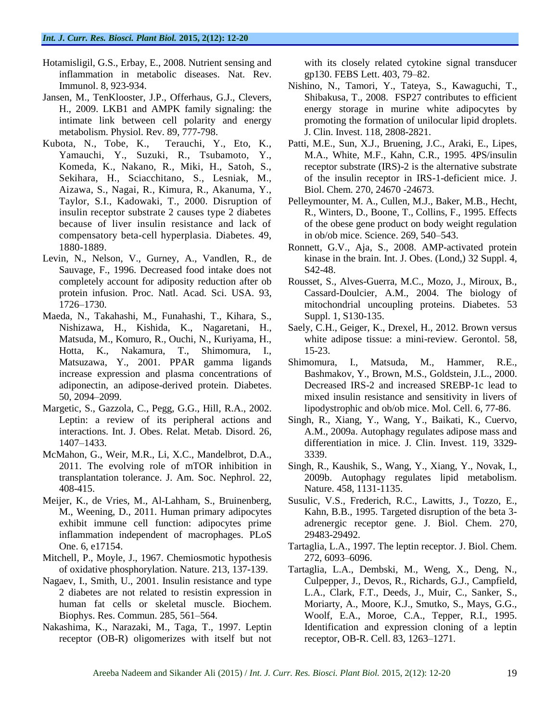- Hotamisligil, G.S., Erbay, E., 2008. Nutrient sensing and inflammation in metabolic diseases. Nat. Rev. Immunol. 8, 923-934.
- Jansen, M., TenKlooster, J.P., Offerhaus, G.J., Clevers, H., 2009. LKB1 and AMPK family signaling: the intimate link between cell polarity and energy metabolism. Physiol. Rev. 89, 777-798.
- Kubota, N., Tobe, K., Terauchi, Y., Eto, K., Yamauchi, Y., Suzuki, R., Tsubamoto, Y., Komeda, K., Nakano, R., Miki, H., Satoh, S., Sekihara, H., Sciacchitano, S., Lesniak, M., Aizawa, S., Nagai, R., Kimura, R., Akanuma, Y., Taylor, S.I., Kadowaki, T., 2000. Disruption of insulin receptor substrate 2 causes type 2 diabetes because of liver insulin resistance and lack of compensatory beta-cell hyperplasia. Diabetes. 49, 1880-1889.
- Levin, N., Nelson, V., Gurney, A., Vandlen, R., de Sauvage, F., 1996. Decreased food intake does not completely account for adiposity reduction after ob protein infusion. Proc. Natl. Acad. Sci. USA. 93, 1726–1730.
- Maeda, N., Takahashi, M., Funahashi, T., Kihara, S., Nishizawa, H., Kishida, K., Nagaretani, H., Matsuda, M., Komuro, R., Ouchi, N., Kuriyama, H., Hotta, K., Nakamura, T., Shimomura, I., Matsuzawa, Y., 2001. PPAR gamma ligands increase expression and plasma concentrations of adiponectin, an adipose-derived protein. Diabetes. 50, 2094–2099.
- Margetic, S., Gazzola, C., Pegg, G.G., Hill, R.A., 2002. Leptin: a review of its peripheral actions and interactions. Int. J. Obes. Relat. Metab. Disord. 26, 1407–1433.
- McMahon, G., Weir, M.R., Li, X.C., Mandelbrot, D.A., 2011. The evolving role of mTOR inhibition in transplantation tolerance. J. Am. Soc. Nephrol. 22, 408-415.
- Meijer, K., de Vries, M., Al-Lahham, S., Bruinenberg, M., Weening, D., 2011. Human primary adipocytes exhibit immune cell function: adipocytes prime inflammation independent of macrophages. PLoS One. 6, e17154.
- Mitchell, P., Moyle, J., 1967. Chemiosmotic hypothesis of oxidative phosphorylation. Nature. 213, 137-139.
- Nagaev, I., Smith, U., 2001. Insulin resistance and type 2 diabetes are not related to resistin expression in human fat cells or skeletal muscle. Biochem. Biophys. Res. Commun. 285, 561–564.
- Nakashima, K., Narazaki, M., Taga, T., 1997. Leptin receptor (OB-R) oligomerizes with itself but not

with its closely related cytokine signal transducer gp130. FEBS Lett. 403, 79–82.

- Nishino, N., Tamori, Y., Tateya, S., Kawaguchi, T., Shibakusa, T., 2008. FSP27 contributes to efficient energy storage in murine white adipocytes by promoting the formation of unilocular lipid droplets. J. Clin. Invest. 118, 2808-2821.
- Patti, M.E., Sun, X.J., Bruening, J.C., Araki, E., Lipes, M.A., White, M.F., Kahn, C.R., 1995. 4PS/insulin receptor substrate (IRS)-2 is the alternative substrate of the insulin receptor in IRS-1-deficient mice. J. Biol. Chem. 270, 24670 -24673.
- Pelleymounter, M. A., Cullen, M.J., Baker, M.B., Hecht, R., Winters, D., Boone, T., Collins, F., 1995. Effects of the obese gene product on body weight regulation in ob/ob mice. Science. 269, 540–543.
- Ronnett, G.V., Aja, S., 2008. AMP-activated protein kinase in the brain. Int. J. Obes. (Lond,) 32 Suppl. 4, S42-48.
- Rousset, S., Alves-Guerra, M.C., Mozo, J., Miroux, B., Cassard-Doulcier, A.M., 2004. The biology of mitochondrial uncoupling proteins. Diabetes. 53 Suppl. 1, S130-135.
- Saely, C.H., Geiger, K., Drexel, H., 2012. Brown versus white adipose tissue: a mini-review. Gerontol. 58, 15-23.
- Shimomura, I., Matsuda, M., Hammer, R.E., Bashmakov, Y., Brown, M.S., Goldstein, J.L., 2000. Decreased IRS-2 and increased SREBP-1c lead to mixed insulin resistance and sensitivity in livers of lipodystrophic and ob/ob mice. Mol. Cell. 6, 77-86.
- Singh, R., Xiang, Y., Wang, Y., Baikati, K., Cuervo, A.M., 2009a. Autophagy regulates adipose mass and differentiation in mice. J. Clin. Invest. 119, 3329- 3339.
- Singh, R., Kaushik, S., Wang, Y., Xiang, Y., Novak, I., 2009b. Autophagy regulates lipid metabolism. Nature. 458, 1131-1135.
- Susulic, V.S., Frederich, R.C., Lawitts, J., Tozzo, E., Kahn, B.B., 1995. Targeted disruption of the beta 3 adrenergic receptor gene. J. Biol. Chem. 270, 29483-29492.
- Tartaglia, L.A., 1997. The leptin receptor. J. Biol. Chem. 272, 6093–6096.
- Tartaglia, L.A., Dembski, M., Weng, X., Deng, N., Culpepper, J., Devos, R., Richards, G.J., Campfield, L.A., Clark, F.T., Deeds, J., Muir, C., Sanker, S., Moriarty, A., Moore, K.J., Smutko, S., Mays, G.G., Woolf, E.A., Moroe, C.A., Tepper, R.I., 1995. Identification and expression cloning of a leptin receptor, OB-R. Cell. 83, 1263–1271.